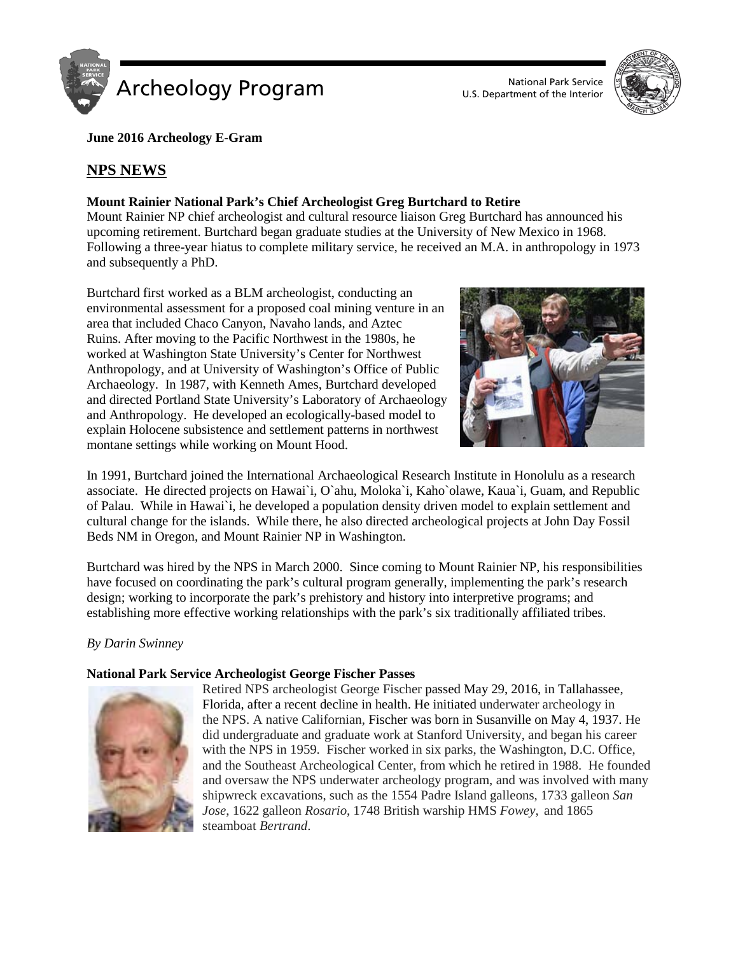



**June 2016 Archeology E-Gram**

# **NPS NEWS**

## **Mount Rainier National Park's Chief Archeologist Greg Burtchard to Retire**

Mount Rainier NP chief archeologist and cultural resource liaison Greg Burtchard has announced his upcoming retirement. Burtchard began graduate studies at the University of New Mexico in 1968. Following a three-year hiatus to complete military service, he received an M.A. in anthropology in 1973 and subsequently a PhD.

Burtchard first worked as a BLM archeologist, conducting an environmental assessment for a proposed coal mining venture in an area that included Chaco Canyon, Navaho lands, and Aztec Ruins. After moving to the Pacific Northwest in the 1980s, he worked at Washington State University's Center for Northwest Anthropology, and at University of Washington's Office of Public Archaeology. In 1987, with Kenneth Ames, Burtchard developed and directed Portland State University's Laboratory of Archaeology and Anthropology. He developed an ecologically-based model to explain Holocene subsistence and settlement patterns in northwest montane settings while working on Mount Hood.



In 1991, Burtchard joined the International Archaeological Research Institute in Honolulu as a research associate. He directed projects on Hawai`i, O`ahu, Moloka`i, Kaho`olawe, Kaua`i, Guam, and Republic of Palau. While in Hawai`i, he developed a population density driven model to explain settlement and cultural change for the islands. While there, he also directed archeological projects at John Day Fossil Beds NM in Oregon, and Mount Rainier NP in Washington.

Burtchard was hired by the NPS in March 2000. Since coming to Mount Rainier NP, his responsibilities have focused on coordinating the park's cultural program generally, implementing the park's research design; working to incorporate the park's prehistory and history into interpretive programs; and establishing more effective working relationships with the park's six traditionally affiliated tribes.

*By [Darin Swinney](https://mail.google.com/mail/?view=cm&fs=1&tf=1&to=darin_swinney@nps.gov)*

## **National Park Service Archeologist George Fischer Passes**



Retired NPS archeologist George Fischer passed May 29, 2016, in Tallahassee, Florida, after a recent decline in health. He initiated underwater archeology in the NPS. A native Californian, Fischer was born in Susanville on May 4, 1937. He did undergraduate and graduate work at Stanford University, and began his career with the NPS in 1959. Fischer worked in six parks, the Washington, D.C. Office, and the Southeast Archeological Center, from which he retired in 1988. He founded and oversaw the NPS underwater archeology program, and was involved with many shipwreck excavations, such as the 1554 Padre Island galleons, 1733 galleon *San Jose*, 1622 galleon *Rosario*, 1748 British warship HMS *Fowey*, and 1865 steamboat *Bertrand*.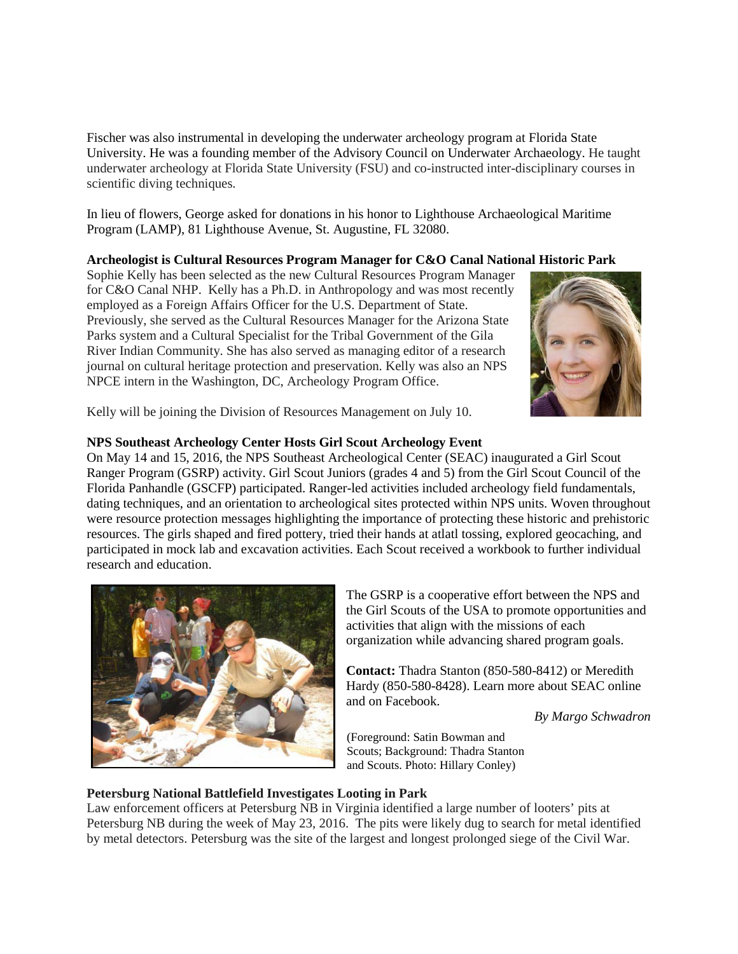Fischer was also instrumental in developing the underwater archeology program at Florida State University. He was a founding member of the Advisory Council on Underwater Archaeology. He taught underwater archeology at Florida State University (FSU) and co-instructed inter-disciplinary courses in scientific diving techniques.

In lieu of flowers, George asked for donations in his honor to Lighthouse Archaeological Maritime Program (LAMP), 81 Lighthouse Avenue, St. Augustine, FL 32080.

#### **Archeologist is Cultural Resources Program Manager for C&O Canal National Historic Park**

Sophie Kelly has been selected as the new Cultural Resources Program Manager for C&O Canal NHP. Kelly has a Ph.D. in Anthropology and was most recently employed as a Foreign Affairs Officer for the U.S. Department of State. Previously, she served as the Cultural Resources Manager for the Arizona State Parks system and a Cultural Specialist for the Tribal Government of the Gila River Indian Community. She has also served as managing editor of a research journal on cultural heritage protection and preservation. Kelly was also an NPS NPCE intern in the Washington, DC, Archeology Program Office.



Kelly will be joining the Division of Resources Management on July 10.

## **NPS Southeast Archeology Center Hosts Girl Scout Archeology Event**

On May 14 and 15, 2016, the NPS Southeast Archeological Center (SEAC) inaugurated a Girl Scout Ranger Program (GSRP) activity. Girl Scout Juniors (grades 4 and 5) from the Girl Scout Council of the Florida Panhandle (GSCFP) participated. Ranger-led activities included archeology field fundamentals, dating techniques, and an orientation to archeological sites protected within NPS units. Woven throughout were resource protection messages highlighting the importance of protecting these historic and prehistoric resources. The girls shaped and fired pottery, tried their hands at atlatl tossing, explored geocaching, and participated in mock lab and excavation activities. Each Scout received a workbook to further individual research and education.



The GSRP is a cooperative effort between the NPS and the Girl Scouts of the USA to promote opportunities and activities that align with the missions of each organization while advancing shared program goals.

**Contact:** Thadra Stanton (850-580-8412) or Meredith Hardy (850-580-8428). Learn more about SEAC online and on Facebook.

*By Margo Schwadron*

(Foreground: Satin Bowman and Scouts; Background: Thadra Stanton and Scouts. Photo: Hillary Conley)

## **Petersburg National Battlefield Investigates Looting in Park**

Law enforcement officers at Petersburg NB in Virginia identified a large number of looters' pits at Petersburg NB during the week of May 23, 2016. The pits were likely dug to search for metal identified by metal detectors. Petersburg was the site of the largest and longest prolonged siege of the Civil War.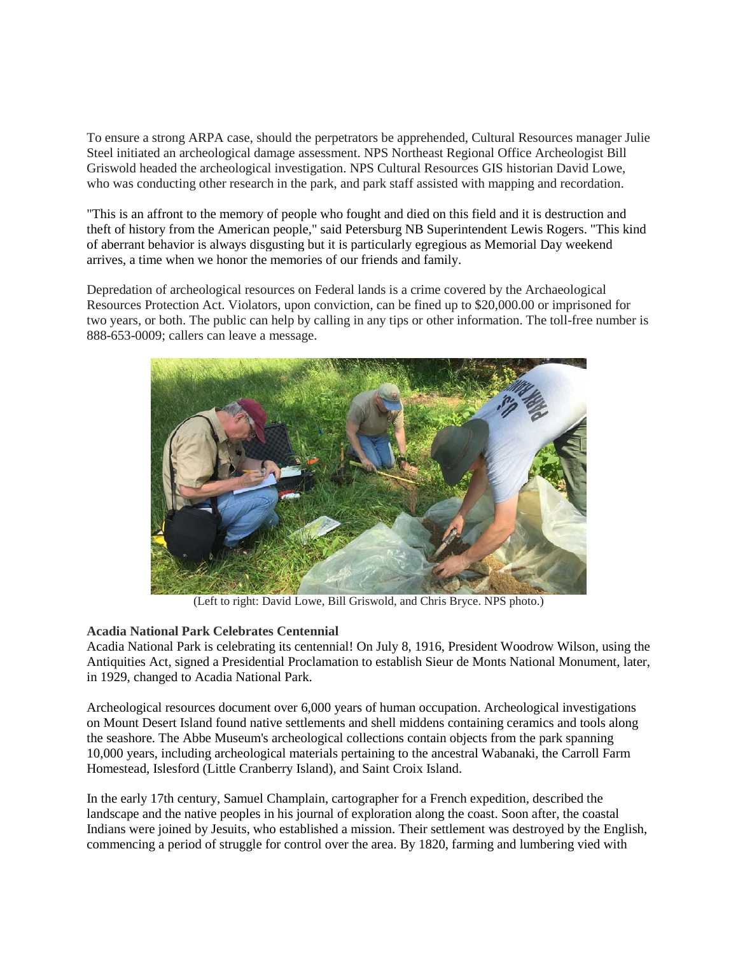To ensure a strong ARPA case, should the perpetrators be apprehended, Cultural Resources manager Julie Steel initiated an archeological damage assessment. NPS Northeast Regional Office Archeologist Bill Griswold headed the archeological investigation. NPS Cultural Resources GIS historian David Lowe, who was conducting other research in the park, and park staff assisted with mapping and recordation.

"This is an affront to the memory of people who fought and died on this field and it is destruction and theft of history from the American people," said Petersburg NB Superintendent Lewis Rogers. "This kind of aberrant behavior is always disgusting but it is particularly egregious as Memorial Day weekend arrives, a time when we honor the memories of our friends and family.

Depredation of archeological resources on Federal lands is a crime covered by the Archaeological Resources Protection Act. Violators, upon conviction, can be fined up to \$20,000.00 or imprisoned for two years, or both. The public can help by calling in any tips or other information. The toll-free number is 888-653-0009; callers can leave a message.



(Left to right: David Lowe, Bill Griswold, and Chris Bryce. NPS photo.)

## **Acadia National Park Celebrates Centennial**

Acadia National Park is celebrating its centennial! On July 8, 1916, President Woodrow Wilson, using the Antiquities Act, signed a Presidential Proclamation to establish Sieur de Monts National Monument, later, in 1929, changed to Acadia National Park.

Archeological resources document over 6,000 years of human occupation. Archeological investigations on Mount Desert Island found native settlements and shell middens containing ceramics and tools along the seashore. The Abbe Museum's archeological collections contain objects from the park spanning 10,000 years, including archeological materials pertaining to the ancestral Wabanaki, the Carroll Farm Homestead, Islesford (Little Cranberry Island), and Saint Croix Island.

In the early 17th century, Samuel Champlain, cartographer for a French expedition, described the landscape and the native peoples in his journal of exploration along the coast. Soon after, the coastal Indians were joined by Jesuits, who established a mission. Their settlement was destroyed by the English, commencing a period of struggle for control over the area. By 1820, farming and lumbering vied with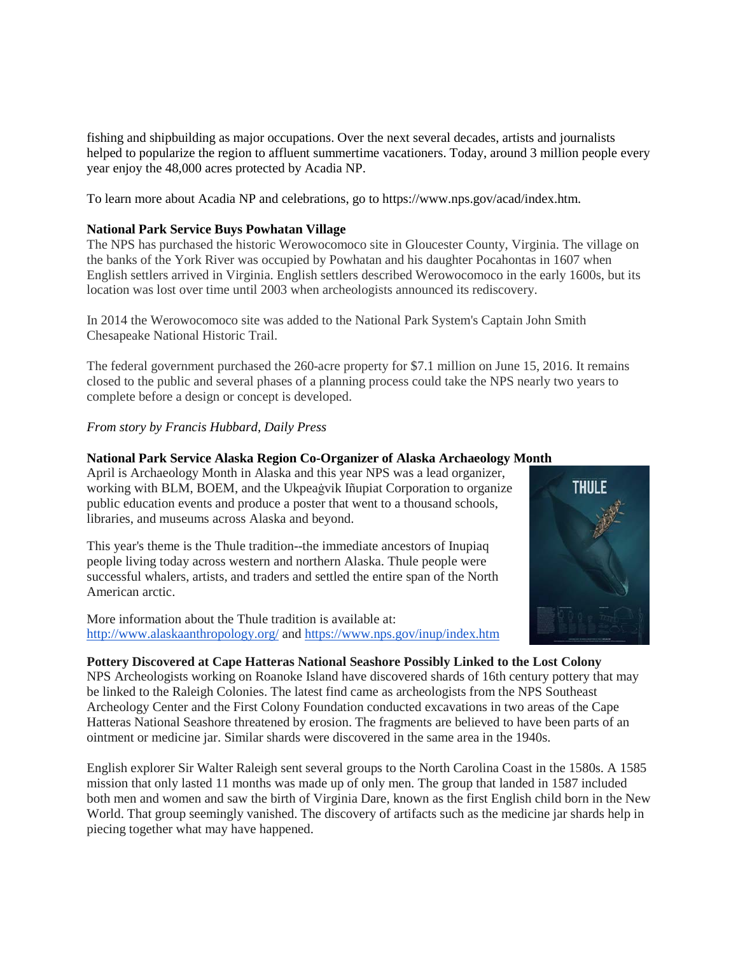fishing and shipbuilding as major occupations. Over the next several decades, artists and journalists helped to popularize the region to affluent summertime vacationers. Today, around 3 million people every year enjoy the 48,000 acres protected by Acadia NP.

To learn more about Acadia NP and celebrations, go to https://www.nps.gov/acad/index.htm.

### **National Park Service Buys Powhatan Village**

The NPS has purchased the historic Werowocomoco site in Gloucester County, Virginia. The village on the banks of the York River was occupied by Powhatan and his daughter Pocahontas in 1607 when English settlers arrived in Virginia. English settlers described Werowocomoco in the early 1600s, but its location was lost over time until 2003 when archeologists announced its rediscovery.

In 2014 the Werowocomoco site was added to the National Park System's Captain John Smith Chesapeake National Historic Trail.

The federal government purchased the 260-acre property for \$7.1 million on June 15, 2016. It remains closed to the public and several phases of a planning process could take the NPS nearly two years to complete before a design or concept is developed.

#### *From story by Francis Hubbard, Daily Press*

#### **National Park Service Alaska Region Co-Organizer of Alaska Archaeology Month**

April is Archaeology Month in Alaska and this year NPS was a lead organizer, working with BLM, BOEM, and the Ukpeaġvik Iñupiat Corporation to organize public education events and produce a poster that went to a thousand schools, libraries, and museums across Alaska and beyond.

This year's theme is the Thule tradition--the immediate ancestors of Inupiaq people living today across western and northern Alaska. Thule people were successful whalers, artists, and traders and settled the entire span of the North American arctic.

More information about the Thule tradition is available at: <http://www.alaskaanthropology.org/> and <https://www.nps.gov/inup/index.htm>



#### **Pottery Discovered at Cape Hatteras National Seashore Possibly Linked to the Lost Colony**

NPS Archeologists working on Roanoke Island have discovered shards of 16th century pottery that may be linked to the Raleigh Colonies. The latest find came as archeologists from the NPS Southeast Archeology Center and the First Colony Foundation conducted excavations in two areas of the Cape Hatteras National Seashore threatened by erosion. The fragments are believed to have been parts of an ointment or medicine jar. Similar shards were discovered in the same area in the 1940s.

English explorer Sir Walter Raleigh sent several groups to the North Carolina Coast in the 1580s. A 1585 mission that only lasted 11 months was made up of only men. The group that landed in 1587 included both men and women and saw the birth of Virginia Dare, known as the first English child born in the New World. That group seemingly vanished. The discovery of artifacts such as the medicine jar shards help in piecing together what may have happened.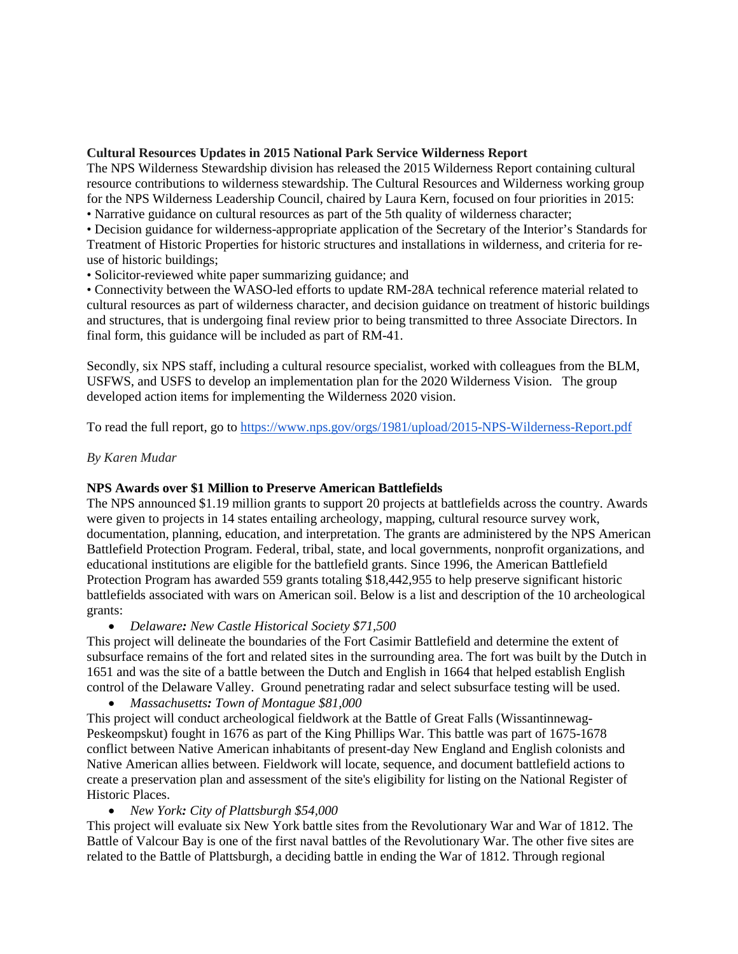## **Cultural Resources Updates in 2015 National Park Service Wilderness Report**

The NPS Wilderness Stewardship division has released the 2015 Wilderness Report containing cultural resource contributions to wilderness stewardship. The Cultural Resources and Wilderness working group for the NPS Wilderness Leadership Council, chaired by Laura Kern, focused on four priorities in 2015:

• Narrative guidance on cultural resources as part of the 5th quality of wilderness character;

• Decision guidance for wilderness-appropriate application of the Secretary of the Interior's Standards for Treatment of Historic Properties for historic structures and installations in wilderness, and criteria for reuse of historic buildings;

• Solicitor-reviewed white paper summarizing guidance; and

• Connectivity between the WASO-led efforts to update RM-28A technical reference material related to cultural resources as part of wilderness character, and decision guidance on treatment of historic buildings and structures, that is undergoing final review prior to being transmitted to three Associate Directors. In final form, this guidance will be included as part of RM-41.

Secondly, six NPS staff, including a cultural resource specialist, worked with colleagues from the BLM, USFWS, and USFS to develop an implementation plan for the 2020 Wilderness Vision. The group developed action items for implementing the Wilderness 2020 vision.

To read the full report, go to<https://www.nps.gov/orgs/1981/upload/2015-NPS-Wilderness-Report.pdf>

## *By Karen Mudar*

## **NPS Awards over \$1 Million to Preserve American Battlefields**

The NPS announced \$1.19 million grants to support 20 projects at battlefields across the country. Awards were given to projects in 14 states entailing archeology, mapping, cultural resource survey work, documentation, planning, education, and interpretation. The grants are administered by the NPS American Battlefield Protection Program. Federal, tribal, state, and local governments, nonprofit organizations, and educational institutions are eligible for the battlefield grants. Since 1996, the American Battlefield Protection Program has awarded 559 grants totaling \$18,442,955 to help preserve significant historic battlefields associated with wars on American soil. Below is a list and description of the 10 archeological grants:

• *Delaware: New Castle Historical Society \$71,500*

This project will delineate the boundaries of the Fort Casimir Battlefield and determine the extent of subsurface remains of the fort and related sites in the surrounding area. The fort was built by the Dutch in 1651 and was the site of a battle between the Dutch and English in 1664 that helped establish English control of the Delaware Valley. Ground penetrating radar and select subsurface testing will be used.

• *Massachusetts: Town of Montague \$81,000*

This project will conduct archeological fieldwork at the Battle of Great Falls (Wissantinnewag-Peskeompskut) fought in 1676 as part of the King Phillips War. This battle was part of 1675-1678 conflict between Native American inhabitants of present-day New England and English colonists and Native American allies between. Fieldwork will locate, sequence, and document battlefield actions to create a preservation plan and assessment of the site's eligibility for listing on the National Register of Historic Places.

• *New York: City of Plattsburgh \$54,000*

This project will evaluate six New York battle sites from the Revolutionary War and War of 1812. The Battle of Valcour Bay is one of the first naval battles of the Revolutionary War. The other five sites are related to the Battle of Plattsburgh, a deciding battle in ending the War of 1812. Through regional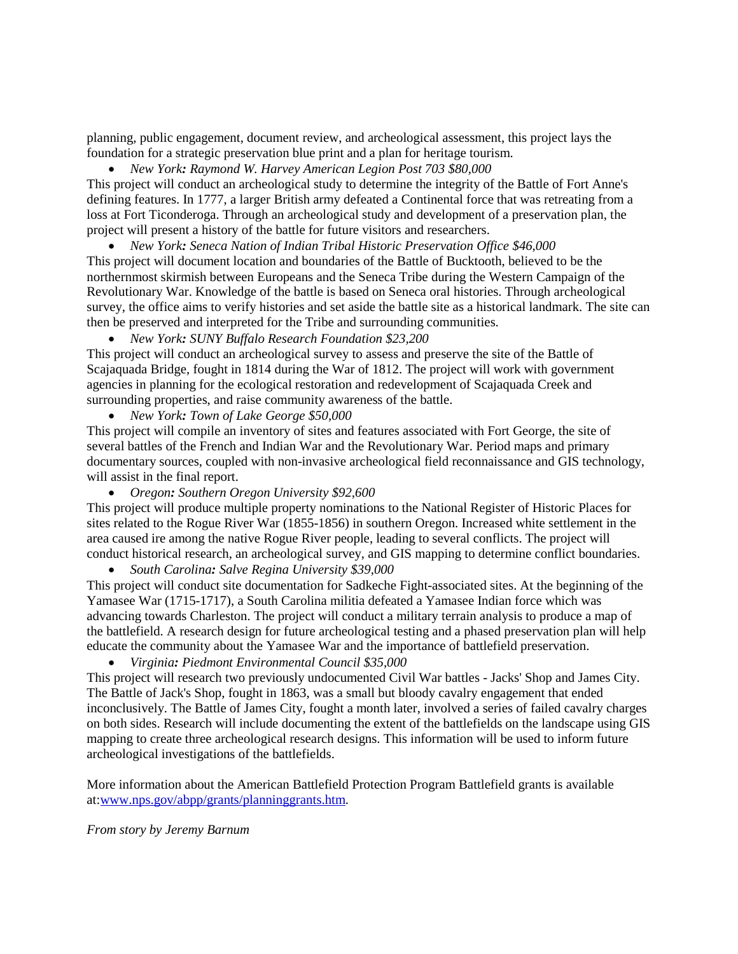planning, public engagement, document review, and archeological assessment, this project lays the foundation for a strategic preservation blue print and a plan for heritage tourism.

## • *New York: Raymond W. Harvey American Legion Post 703 \$80,000*

This project will conduct an archeological study to determine the integrity of the Battle of Fort Anne's defining features. In 1777, a larger British army defeated a Continental force that was retreating from a loss at Fort Ticonderoga. Through an archeological study and development of a preservation plan, the project will present a history of the battle for future visitors and researchers.

• *New York: Seneca Nation of Indian Tribal Historic Preservation Office \$46,000* This project will document location and boundaries of the Battle of Bucktooth, believed to be the northernmost skirmish between Europeans and the Seneca Tribe during the Western Campaign of the Revolutionary War. Knowledge of the battle is based on Seneca oral histories. Through archeological survey, the office aims to verify histories and set aside the battle site as a historical landmark. The site can then be preserved and interpreted for the Tribe and surrounding communities.

• *New York: SUNY Buffalo Research Foundation \$23,200*

This project will conduct an archeological survey to assess and preserve the site of the Battle of Scajaquada Bridge, fought in 1814 during the War of 1812. The project will work with government agencies in planning for the ecological restoration and redevelopment of Scajaquada Creek and surrounding properties, and raise community awareness of the battle.

• *New York: Town of Lake George \$50,000*

This project will compile an inventory of sites and features associated with Fort George, the site of several battles of the French and Indian War and the Revolutionary War. Period maps and primary documentary sources, coupled with non-invasive archeological field reconnaissance and GIS technology, will assist in the final report.

• *Oregon: Southern Oregon University \$92,600*

This project will produce multiple property nominations to the National Register of Historic Places for sites related to the Rogue River War (1855-1856) in southern Oregon. Increased white settlement in the area caused ire among the native Rogue River people, leading to several conflicts. The project will conduct historical research, an archeological survey, and GIS mapping to determine conflict boundaries.

• *South Carolina: Salve Regina University \$39,000*

This project will conduct site documentation for Sadkeche Fight-associated sites. At the beginning of the Yamasee War (1715-1717), a South Carolina militia defeated a Yamasee Indian force which was advancing towards Charleston. The project will conduct a military terrain analysis to produce a map of the battlefield. A research design for future archeological testing and a phased preservation plan will help educate the community about the Yamasee War and the importance of battlefield preservation.

• *Virginia: Piedmont Environmental Council \$35,000*

This project will research two previously undocumented Civil War battles - Jacks' Shop and James City. The Battle of Jack's Shop, fought in 1863, was a small but bloody cavalry engagement that ended inconclusively. The Battle of James City, fought a month later, involved a series of failed cavalry charges on both sides. Research will include documenting the extent of the battlefields on the landscape using GIS mapping to create three archeological research designs. This information will be used to inform future archeological investigations of the battlefields.

More information about the American Battlefield Protection Program Battlefield grants is available at[:www.nps.gov/abpp/grants/planninggrants.htm.](http://cms.nps.doi.net/orgs/1207/www.nps.gov/abpp/grants/planninggrants.htm)

*From story by Jeremy Barnum*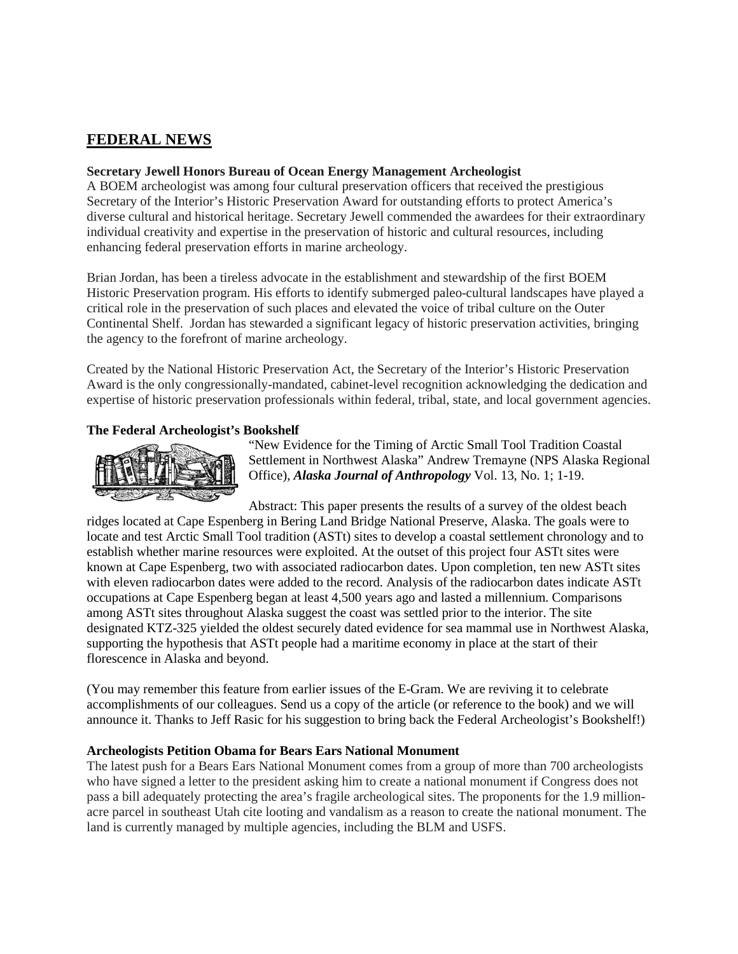# **FEDERAL NEWS**

### **Secretary Jewell Honors Bureau of Ocean Energy Management Archeologist**

A BOEM archeologist was among four cultural preservation officers that received the prestigious Secretary of the Interior's Historic Preservation Award for outstanding efforts to protect America's diverse cultural and historical heritage. Secretary Jewell commended the awardees for their extraordinary individual creativity and expertise in the preservation of historic and cultural resources, including enhancing federal preservation efforts in marine archeology.

Brian Jordan, has been a tireless advocate in the establishment and stewardship of the first BOEM Historic Preservation program. His efforts to identify submerged paleo-cultural landscapes have played a critical role in the preservation of such places and elevated the voice of tribal culture on the Outer Continental Shelf. Jordan has stewarded a significant legacy of historic preservation activities, bringing the agency to the forefront of marine archeology.

Created by the National Historic Preservation Act, the Secretary of the Interior's Historic Preservation Award is the only congressionally-mandated, cabinet-level recognition acknowledging the dedication and expertise of historic preservation professionals within federal, tribal, state, and local government agencies.

## **The Federal Archeologist's Bookshelf**



"New Evidence for the Timing of Arctic Small Tool Tradition Coastal Settlement in Northwest Alaska" Andrew Tremayne (NPS Alaska Regional Office), *Alaska Journal of Anthropology* Vol. 13, No. 1; 1-19.

Abstract: This paper presents the results of a survey of the oldest beach ridges located at Cape Espenberg in Bering Land Bridge National Preserve, Alaska. The goals were to locate and test Arctic Small Tool tradition (ASTt) sites to develop a coastal settlement chronology and to establish whether marine resources were exploited. At the outset of this project four ASTt sites were known at Cape Espenberg, two with associated radiocarbon dates. Upon completion, ten new ASTt sites with eleven radiocarbon dates were added to the record. Analysis of the radiocarbon dates indicate ASTt occupations at Cape Espenberg began at least 4,500 years ago and lasted a millennium. Comparisons among ASTt sites throughout Alaska suggest the coast was settled prior to the interior. The site designated KTZ-325 yielded the oldest securely dated evidence for sea mammal use in Northwest Alaska, supporting the hypothesis that ASTt people had a maritime economy in place at the start of their florescence in Alaska and beyond.

(You may remember this feature from earlier issues of the E-Gram. We are reviving it to celebrate accomplishments of our colleagues. Send us a copy of the article (or reference to the book) and we will announce it. Thanks to Jeff Rasic for his suggestion to bring back the Federal Archeologist's Bookshelf!)

#### **Archeologists Petition Obama for Bears Ears National Monument**

The latest push for a Bears Ears National Monument comes from a group of more than 700 archeologists who have signed a letter to the president asking him to create a national monument if Congress does not pass a bill adequately protecting the area's fragile archeological sites. The proponents for the 1.9 millionacre parcel in southeast Utah cite looting and vandalism as a reason to create the national monument. The land is currently managed by multiple agencies, including the BLM and USFS.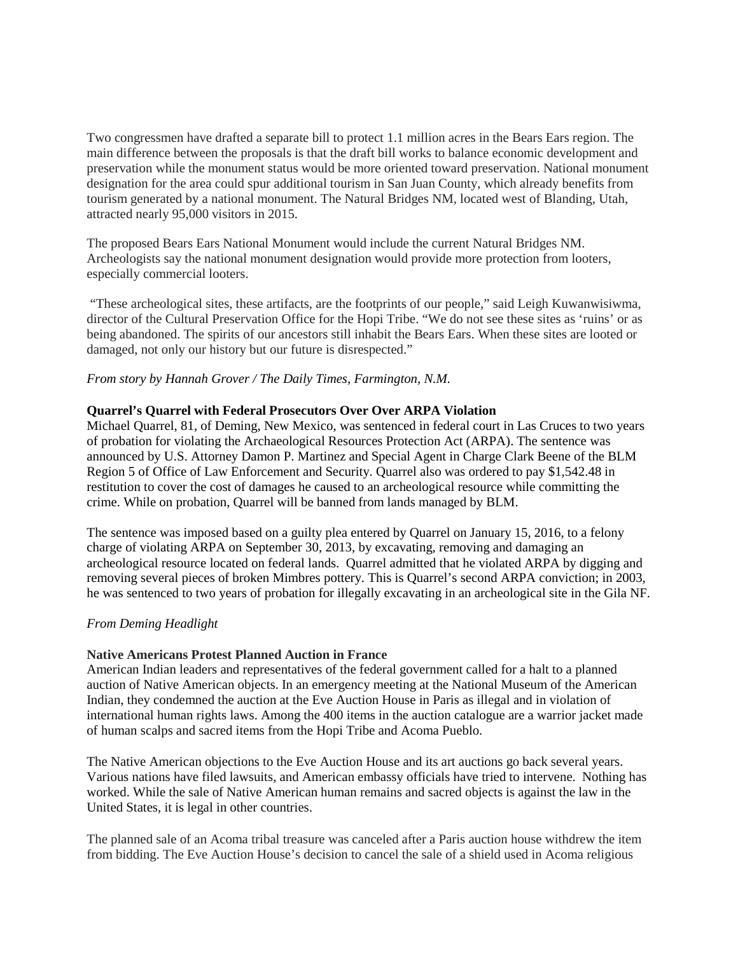Two congressmen have drafted a separate bill to protect 1.1 million acres in the Bears Ears region. The main difference between the proposals is that the draft bill works to balance economic development and preservation while the monument status would be more oriented toward preservation. National monument designation for the area could spur additional tourism in San Juan County, which already benefits from tourism generated by a national monument. The Natural Bridges NM, located west of Blanding, Utah, attracted nearly 95,000 visitors in 2015.

The proposed Bears Ears National Monument would include the current Natural Bridges NM. Archeologists say the national monument designation would provide more protection from looters, especially commercial looters.

"These archeological sites, these artifacts, are the footprints of our people," said Leigh Kuwanwisiwma, director of the Cultural Preservation Office for the Hopi Tribe. "We do not see these sites as 'ruins' or as being abandoned. The spirits of our ancestors still inhabit the Bears Ears. When these sites are looted or damaged, not only our history but our future is disrespected."

#### *From story by Hannah Grover / The Daily Times, Farmington, N.M.*

#### **Quarrel's Quarrel with Federal Prosecutors Over Over ARPA Violation**

Michael Quarrel, 81, of Deming, New Mexico, was sentenced in federal court in Las Cruces to two years of probation for violating the Archaeological Resources Protection Act (ARPA). The sentence was announced by U.S. Attorney Damon P. Martinez and Special Agent in Charge Clark Beene of the BLM Region 5 of Office of Law Enforcement and Security. Quarrel also was ordered to pay \$1,542.48 in restitution to cover the cost of damages he caused to an archeological resource while committing the crime. While on probation, Quarrel will be banned from lands managed by BLM.

The sentence was imposed based on a guilty plea entered by Quarrel on January 15, 2016, to a felony charge of violating ARPA on September 30, 2013, by excavating, removing and damaging an archeological resource located on federal lands. Quarrel admitted that he violated ARPA by digging and removing several pieces of broken Mimbres pottery. This is Quarrel's second ARPA conviction; in 2003, he was sentenced to two years of probation for illegally excavating in an archeological site in the Gila NF.

#### *From Deming Headlight*

#### **Native Americans Protest Planned Auction in France**

American Indian leaders and representatives of the federal government called for a halt to a planned auction of Native American objects. In an emergency meeting at the National Museum of the American Indian, they condemned the auction at the Eve Auction House in Paris as illegal and in violation of international human rights laws. Among the 400 items in the auction catalogue are a warrior jacket made of human scalps and sacred items from the Hopi Tribe and Acoma Pueblo.

The Native American objections to the Eve Auction House and its art auctions go back several years. Various nations have filed lawsuits, and American embassy officials have tried to intervene. Nothing has worked. While the sale of Native American human remains and sacred objects is against the law in the United States, it is legal in other countries.

The planned sale of an Acoma tribal treasure was canceled after a Paris auction house withdrew the item from bidding. The Eve Auction House's decision to cancel the sale of a shield used in Acoma religious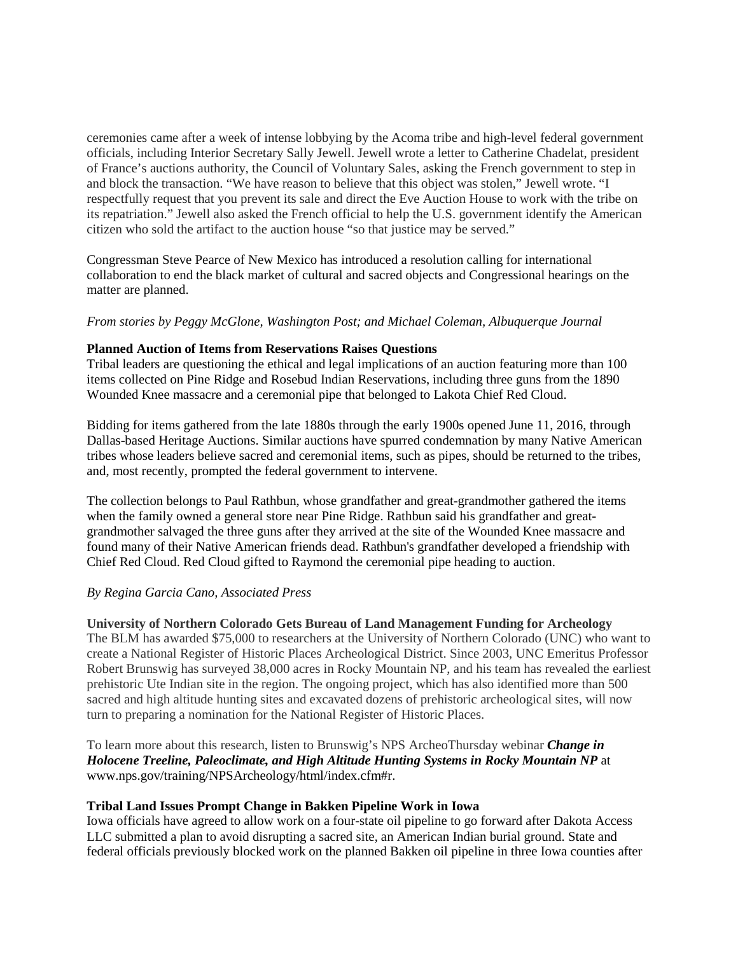ceremonies came after a week of intense lobbying by the Acoma tribe and high-level federal government officials, including Interior Secretary Sally Jewell. Jewell wrote a letter to Catherine Chadelat, president of France's auctions authority, the Council of Voluntary Sales, asking the French government to step in and block the transaction. "We have reason to believe that this object was stolen," Jewell wrote. "I respectfully request that you prevent its sale and direct the Eve Auction House to work with the tribe on its repatriation." Jewell also asked the French official to help the U.S. government identify the American citizen who sold the artifact to the auction house "so that justice may be served."

Congressman Steve Pearce of New Mexico has introduced a resolution calling for international collaboration to end the black market of cultural and sacred objects and Congressional hearings on the matter are planned.

## *From stories by Peggy McGlone, Washington Post; and Michael Coleman, Albuquerque Journal*

## **Planned Auction of Items from Reservations Raises Questions**

Tribal leaders are questioning the ethical and legal implications of an auction featuring more than 100 items collected on Pine Ridge and Rosebud Indian Reservations, including three guns from the 1890 Wounded Knee massacre and a ceremonial pipe that belonged to Lakota Chief Red Cloud.

Bidding for items gathered from the late 1880s through the early 1900s opened June 11, 2016, through Dallas-based Heritage Auctions. Similar auctions have spurred condemnation by many Native American tribes whose leaders believe sacred and ceremonial items, such as pipes, should be returned to the tribes, and, most recently, prompted the federal government to intervene.

The collection belongs to Paul Rathbun, whose grandfather and great-grandmother gathered the items when the family owned a general store near Pine Ridge. Rathbun said his grandfather and greatgrandmother salvaged the three guns after they arrived at the site of the Wounded Knee massacre and found many of their Native American friends dead. Rathbun's grandfather developed a friendship with Chief Red Cloud. Red Cloud gifted to Raymond the ceremonial pipe heading to auction.

## *By Regina Garcia Cano, Associated Press*

#### **University of Northern Colorado Gets Bureau of Land Management Funding for Archeology**

The BLM has awarded \$75,000 to researchers at the University of Northern Colorado (UNC) who want to create a National Register of Historic Places Archeological District. Since 2003, UNC Emeritus Professor Robert Brunswig has surveyed 38,000 acres in Rocky Mountain NP, and his team has revealed the earliest prehistoric Ute Indian site in the region. The ongoing project, which has also identified more than 500 sacred and high altitude hunting sites and excavated dozens of prehistoric archeological sites, will now turn to preparing a nomination for the National Register of Historic Places.

To learn more about this research, listen to Brunswig's NPS ArcheoThursday webinar *Change in Holocene Treeline, Paleoclimate, and High Altitude Hunting Systems in Rocky Mountain NP* at www.nps.gov/training/NPSArcheology/html/index.cfm#r.

#### **Tribal Land Issues Prompt Change in Bakken Pipeline Work in Iowa**

Iowa officials have agreed to allow work on a four-state oil pipeline to go forward after Dakota Access LLC submitted a plan to avoid disrupting a sacred site, an American Indian burial ground. State and federal officials previously blocked work on the planned Bakken oil pipeline in three Iowa counties after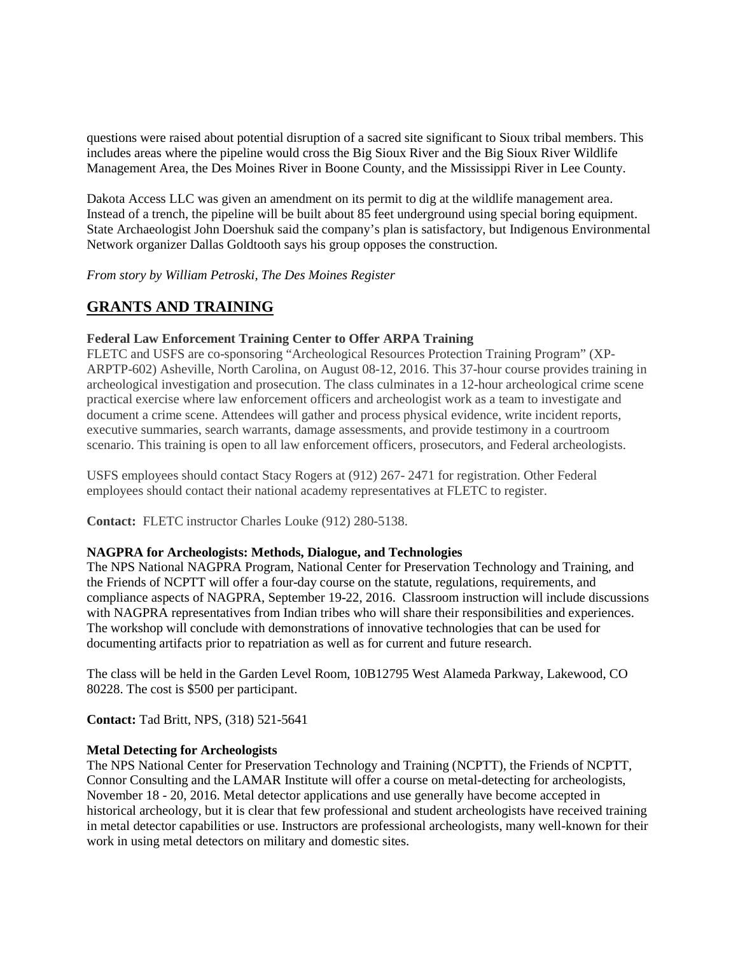questions were raised about potential disruption of a sacred site significant to Sioux tribal members. This includes areas where the pipeline would cross the Big Sioux River and the Big Sioux River Wildlife Management Area, the Des Moines River in Boone County, and the Mississippi River in Lee County.

Dakota Access LLC was given an amendment on its permit to dig at the wildlife management area. Instead of a trench, the pipeline will be built about 85 feet underground using special boring equipment. State Archaeologist John Doershuk said the company's plan is satisfactory, but Indigenous Environmental Network organizer Dallas Goldtooth says his group opposes the construction.

*From story by William Petroski, The Des Moines Register*

## **GRANTS AND TRAINING**

## **Federal Law Enforcement Training Center to Offer ARPA Training**

FLETC and USFS are co-sponsoring "Archeological Resources Protection Training Program" (XP-ARPTP-602) Asheville, North Carolina, on August 08-12, 2016. This 37-hour course provides training in archeological investigation and prosecution. The class culminates in a 12-hour archeological crime scene practical exercise where law enforcement officers and archeologist work as a team to investigate and document a crime scene. Attendees will gather and process physical evidence, write incident reports, executive summaries, search warrants, damage assessments, and provide testimony in a courtroom scenario. This training is open to all law enforcement officers, prosecutors, and Federal archeologists.

USFS employees should contact Stacy Rogers at (912) 267- 2471 for registration. Other Federal employees should contact their national academy representatives at FLETC to register.

**Contact:** FLETC instructor Charles Louke (912) 280-5138.

## **NAGPRA for Archeologists: Methods, Dialogue, and Technologies**

The NPS National NAGPRA Program, National Center for Preservation Technology and Training, and the Friends of NCPTT will offer a four-day course on the statute, regulations, requirements, and compliance aspects of NAGPRA, September 19-22, 2016. Classroom instruction will include discussions with NAGPRA representatives from Indian tribes who will share their responsibilities and experiences. The workshop will conclude with demonstrations of innovative technologies that can be used for documenting artifacts prior to repatriation as well as for current and future research.

The class will be held in the Garden Level Room, 10B12795 West Alameda Parkway, Lakewood, CO 80228. The cost is \$500 per participant.

**Contact:** Tad Britt, NPS, (318) 521-5641

## **Metal Detecting for Archeologists**

The NPS National Center for Preservation Technology and Training (NCPTT), the Friends of NCPTT, Connor Consulting and the LAMAR Institute will offer a course on metal-detecting for archeologists, November 18 - 20, 2016. Metal detector applications and use generally have become accepted in historical archeology, but it is clear that few professional and student archeologists have received training in metal detector capabilities or use. Instructors are professional archeologists, many well-known for their work in using metal detectors on military and domestic sites.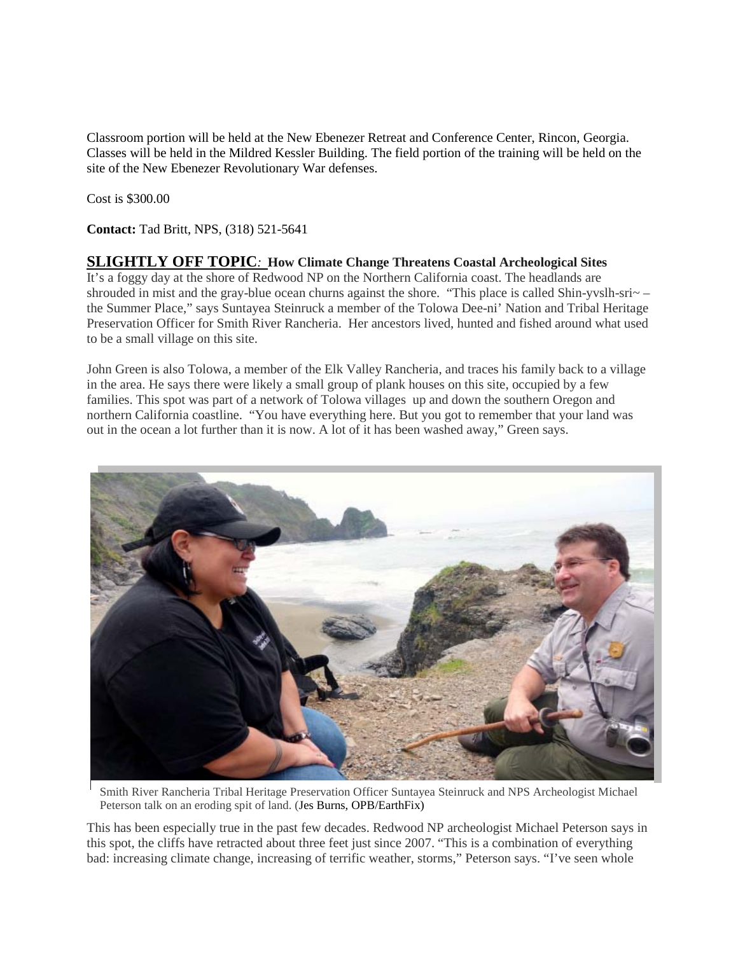Classroom portion will be held at the New Ebenezer Retreat and Conference Center, Rincon, Georgia. Classes will be held in the Mildred Kessler Building. The field portion of the training will be held on the site of the New Ebenezer Revolutionary War defenses.

Cost is \$300.00

**Contact:** Tad Britt, NPS, (318) 521-5641

## **SLIGHTLY OFF TOPIC***:* **How Climate Change Threatens Coastal Archeological Sites**

It's a foggy day at the shore of Redwood NP on the Northern California coast. The headlands are shrouded in mist and the gray-blue ocean churns against the shore. "This place is called Shin-yvslh-sri~ – the Summer Place," says Suntayea Steinruck a member of the Tolowa Dee-ni' Nation and Tribal Heritage Preservation Officer for Smith River Rancheria. Her ancestors lived, hunted and fished around what used to be a small village on this site.

John Green is also Tolowa, a member of the Elk Valley Rancheria, and traces his family back to a village in the area. He says there were likely a small group of plank houses on this site, occupied by a few families. This spot was part of a network of Tolowa villages up and down the southern Oregon and northern California coastline. "You have everything here. But you got to remember that your land was out in the ocean a lot further than it is now. A lot of it has been washed away," Green says.



Smith River Rancheria Tribal Heritage Preservation Officer Suntayea Steinruck and NPS Archeologist Michael Peterson talk on an eroding spit of land. (Jes Burns, OPB/EarthFix)

This has been especially true in the past few decades. Redwood NP archeologist Michael Peterson says in this spot, the cliffs have retracted about three feet just since 2007. "This is a combination of everything bad: increasing climate change, increasing of terrific weather, storms," Peterson says. "I've seen whole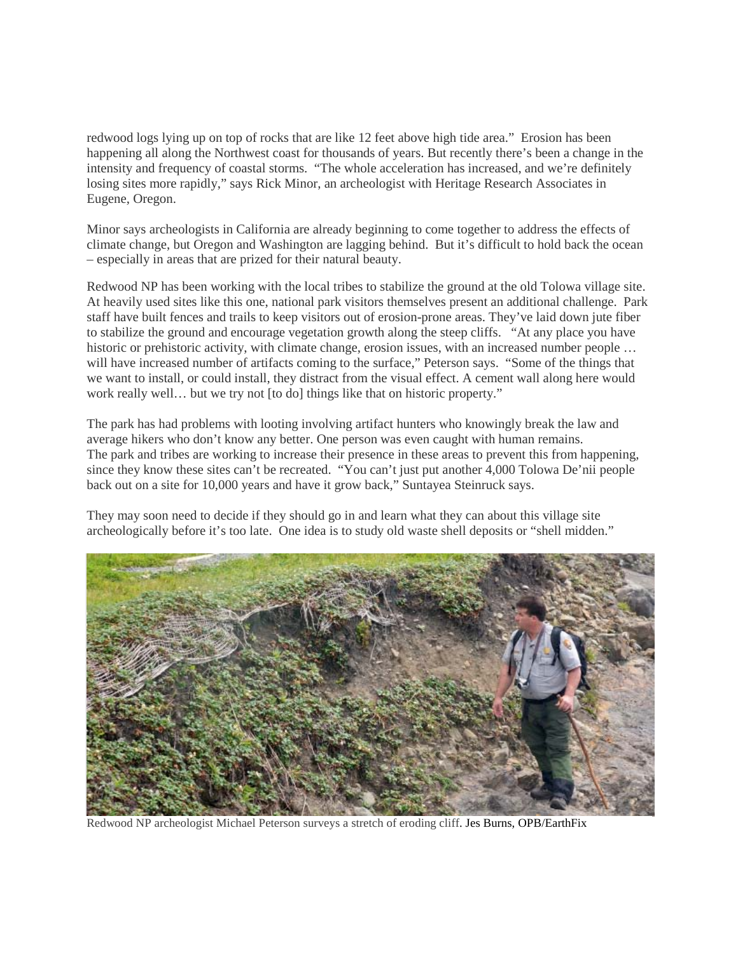redwood logs lying up on top of rocks that are like 12 feet above high tide area." Erosion has been happening all along the Northwest coast for thousands of years. But recently there's been a change in the intensity and frequency of coastal storms. "The whole acceleration has increased, and we're definitely losing sites more rapidly," says Rick Minor, an archeologist with Heritage Research Associates in Eugene, Oregon.

Minor says archeologists in California are already beginning to come together to address the effects of climate change, but Oregon and Washington are lagging behind. But it's difficult to hold back the ocean – especially in areas that are prized for their natural beauty.

Redwood NP has been working with the local tribes to stabilize the ground at the old Tolowa village site. At heavily used sites like this one, national park visitors themselves present an additional challenge. Park staff have built fences and trails to keep visitors out of erosion-prone areas. They've laid down jute fiber to stabilize the ground and encourage vegetation growth along the steep cliffs. "At any place you have historic or prehistoric activity, with climate change, erosion issues, with an increased number people ... will have increased number of artifacts coming to the surface," Peterson says. "Some of the things that we want to install, or could install, they distract from the visual effect. A cement wall along here would work really well… but we try not [to do] things like that on historic property."

The park has had problems with looting involving artifact hunters who knowingly break the law and average hikers who don't know any better. One person was even caught with human remains. The park and tribes are working to increase their presence in these areas to prevent this from happening, since they know these sites can't be recreated. "You can't just put another 4,000 Tolowa De'nii people back out on a site for 10,000 years and have it grow back," Suntayea Steinruck says.

They may soon need to decide if they should go in and learn what they can about this village site archeologically before it's too late. One idea is to study old waste shell deposits or "shell midden."



Redwood NP archeologist Michael Peterson surveys a stretch of eroding cliff. Jes Burns, OPB/EarthFix